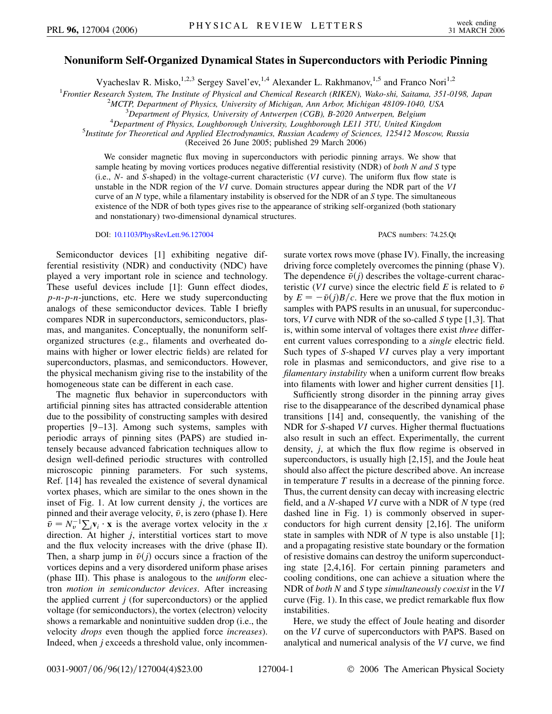## **Nonuniform Self-Organized Dynamical States in Superconductors with Periodic Pinning**

Vyacheslav R. Misko,<sup>1,2,3</sup> Sergey Savel'ev,<sup>1,4</sup> Alexander L. Rakhmanov,<sup>1,5</sup> and Franco Nori<sup>1,2</sup>

<sup>1</sup> Frontier Research System, The Institute of Physical and Chemical Research (RIKEN), Wako-shi, Saitama, 351-0198, Japan<br><sup>2</sup>MCTP Department of Physics, University of Michigan, Ann Arbor, Michigan 48109, 1040, USA

<sup>2</sup>MCTP, Department of Physics, University of Michigan, Ann Arbor, Michigan 48109-1040, USA

*Department of Physics, University of Antwerpen (CGB), B-2020 Antwerpen, Belgium* <sup>4</sup>

*Department of Physics, Loughborough University, Loughborough LE11 3TU, United Kingdom* <sup>5</sup>

*Institute for Theoretical and Applied Electrodynamics, Russian Academy of Sciences, 125412 Moscow, Russia*

(Received 26 June 2005; published 29 March 2006)

We consider magnetic flux moving in superconductors with periodic pinning arrays. We show that sample heating by moving vortices produces negative differential resistivity (NDR) of *both N and S* type (i.e., *N*- and *S*-shaped) in the voltage-current characteristic (*VI* curve). The uniform flux flow state is unstable in the NDR region of the *VI* curve. Domain structures appear during the NDR part of the *VI* curve of an *N* type, while a filamentary instability is observed for the NDR of an *S* type. The simultaneous existence of the NDR of both types gives rise to the appearance of striking self-organized (both stationary and nonstationary) two-dimensional dynamical structures.

DOI: [10.1103/PhysRevLett.96.127004](http://dx.doi.org/10.1103/PhysRevLett.96.127004) PACS numbers: 74.25.Qt

Semiconductor devices [1] exhibiting negative differential resistivity (NDR) and conductivity (NDC) have played a very important role in science and technology. These useful devices include [1]: Gunn effect diodes, *p*-*n*-*p*-*n*-junctions, etc. Here we study superconducting analogs of these semiconductor devices. Table I briefly compares NDR in superconductors, semiconductors, plasmas, and manganites. Conceptually, the nonuniform selforganized structures (e.g., filaments and overheated domains with higher or lower electric fields) are related for superconductors, plasmas, and semiconductors. However, the physical mechanism giving rise to the instability of the homogeneous state can be different in each case.

The magnetic flux behavior in superconductors with artificial pinning sites has attracted considerable attention due to the possibility of constructing samples with desired properties [9–13]. Among such systems, samples with periodic arrays of pinning sites (PAPS) are studied intensely because advanced fabrication techniques allow to design well-defined periodic structures with controlled microscopic pinning parameters. For such systems, Ref. [14] has revealed the existence of several dynamical vortex phases, which are similar to the ones shown in the inset of Fig. 1. At low current density *j*, the vortices are pinned and their average velocity,  $\bar{v}$ , is zero (phase I). Here  $\bar{v} = N_v^{-1} \sum_i v_i \cdot \mathbf{x}$  is the average vortex velocity in the *x* direction. At higher *j*, interstitial vortices start to move and the flux velocity increases with the drive (phase II). Then, a sharp jump in  $\bar{v}(i)$  occurs since a fraction of the vortices depins and a very disordered uniform phase arises (phase III). This phase is analogous to the *uniform* electron *motion in semiconductor devices*. After increasing the applied current  $j$  (for superconductors) or the applied voltage (for semiconductors), the vortex (electron) velocity shows a remarkable and nonintuitive sudden drop (i.e., the velocity *drops* even though the applied force *increases*). Indeed, when *j* exceeds a threshold value, only incommensurate vortex rows move (phase IV). Finally, the increasing driving force completely overcomes the pinning (phase V). The dependence  $\bar{v}(j)$  describes the voltage-current characteristic (*VI* curve) since the electric field *E* is related to  $\bar{v}$ by  $E = -\bar{v}(j)B/c$ . Here we prove that the flux motion in samples with PAPS results in an unusual, for superconductors, *VI* curve with NDR of the so-called *S* type [1,3]. That is, within some interval of voltages there exist *three* different current values corresponding to a *single* electric field. Such types of *S*-shaped *VI* curves play a very important role in plasmas and semiconductors, and give rise to a *filamentary instability* when a uniform current flow breaks into filaments with lower and higher current densities [1].

Sufficiently strong disorder in the pinning array gives rise to the disappearance of the described dynamical phase transitions [14] and, consequently, the vanishing of the NDR for *S*-shaped *VI* curves. Higher thermal fluctuations also result in such an effect. Experimentally, the current density, *j*, at which the flux flow regime is observed in superconductors, is usually high [2,15], and the Joule heat should also affect the picture described above. An increase in temperature *T* results in a decrease of the pinning force. Thus, the current density can decay with increasing electric field, and a *N*-shaped *VI* curve with a NDR of *N* type (red dashed line in Fig. 1) is commonly observed in superconductors for high current density [2,16]. The uniform state in samples with NDR of *N* type is also unstable [1]; and a propagating resistive state boundary or the formation of resistive domains can destroy the uniform superconducting state [2,4,16]. For certain pinning parameters and cooling conditions, one can achieve a situation where the NDR of *both N* and *S* type *simultaneously coexist* in the *VI* curve (Fig. 1). In this case, we predict remarkable flux flow instabilities.

Here, we study the effect of Joule heating and disorder on the *VI* curve of superconductors with PAPS. Based on analytical and numerical analysis of the *VI* curve, we find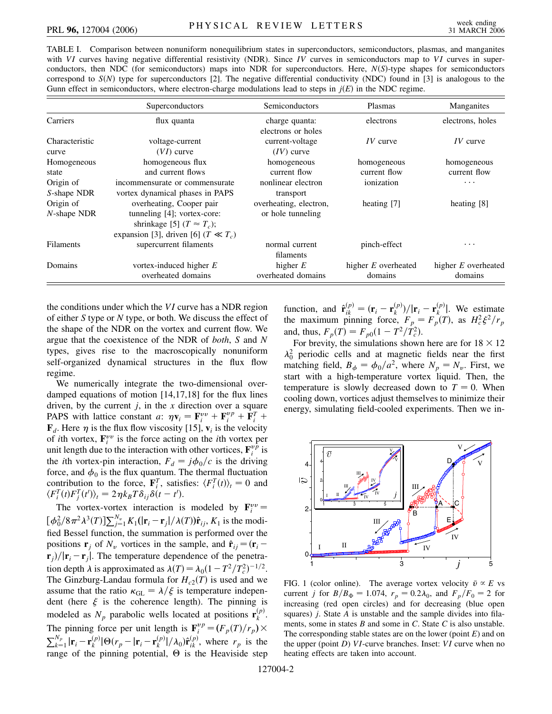TABLE I. Comparison between nonuniform nonequilibrium states in superconductors, semiconductors, plasmas, and manganites with *VI* curves having negative differential resistivity (NDR). Since *IV* curves in semiconductors map to *VI* curves in superconductors, then NDC (for semiconductors) maps into NDR for superconductors. Here, *NS*-type shapes for semiconductors correspond to  $S(N)$  type for superconductors [2]. The negative differential conductivity (NDC) found in [3] is analogous to the Gunn effect in semiconductors, where electron-charge modulations lead to steps in  $j(E)$  in the NDC regime.

|                  | Superconductors                           | Semiconductors         | Plasmas               | Manganites          |
|------------------|-------------------------------------------|------------------------|-----------------------|---------------------|
| Carriers         | flux quanta                               | charge quanta:         | electrons             | electrons, holes    |
|                  |                                           | electrons or holes     |                       |                     |
| Characteristic   | voltage-current                           | current-voltage        | $IV$ curve            | $IV$ curve          |
| curve            | $(VI)$ curve                              | $(IV)$ curve           |                       |                     |
| Homogeneous      | homogeneous flux                          | homogeneous            | homogeneous           | homogeneous         |
| state            | and current flows                         | current flow           | current flow          | current flow        |
| Origin of        | incommensurate or commensurate            | nonlinear electron     | ionization            | .                   |
| S-shape NDR      | vortex dynamical phases in PAPS           | transport              |                       |                     |
| Origin of        | overheating, Cooper pair                  | overheating, electron, | heating [7]           | heating [8]         |
| $N$ -shape NDR   | tunneling $[4]$ ; vortex-core:            | or hole tunneling      |                       |                     |
|                  | shrinkage [5] $(T \approx T_c)$ ;         |                        |                       |                     |
|                  | expansion [3], driven [6] ( $T \ll T_c$ ) |                        |                       |                     |
| <b>Filaments</b> | supercurrent filaments                    | normal current         | pinch-effect          | .                   |
|                  |                                           | filaments              |                       |                     |
| Domains          | vortex-induced higher $E$                 | higher $E$             | higher $E$ overheated | higher E overheated |
|                  | overheated domains                        | overheated domains     | domains               | domains             |

the conditions under which the *VI* curve has a NDR region of either *S* type or *N* type, or both. We discuss the effect of the shape of the NDR on the vortex and current flow. We argue that the coexistence of the NDR of *both*, *S* and *N* types, gives rise to the macroscopically nonuniform self-organized dynamical structures in the flux flow regime.

We numerically integrate the two-dimensional overdamped equations of motion [14,17,18] for the flux lines driven, by the current *j*, in the *x* direction over a square PAPS with lattice constant *a*:  $\eta \mathbf{v}_i = \mathbf{F}_i^{vv} + \mathbf{F}_i^{vp} + \mathbf{F}_i^T$  +  $\mathbf{F}_d$ . Here  $\eta$  is the flux flow viscosity [15],  $\mathbf{v}_i$  is the velocity of *i*th vortex,  $\mathbf{F}_i^{vv}$  is the force acting on the *i*th vortex per unit length due to the interaction with other vortices,  $\mathbf{F}_i^{\nu \hat{p}}$  is the *i*th vortex-pin interaction,  $F_d = j\phi_0/c$  is the driving force, and  $\phi_0$  is the flux quantum. The thermal fluctuation contribution to the force,  $\mathbf{F}_i^T$ , satisfies:  $\langle F_i^T(t) \rangle_t = 0$  and  $\langle F_i^T(t)F_j^T(t')\rangle_t = 2\eta k_BT\delta_{ij}\delta(t-t').$ 

The vortex-vortex interaction is modeled by  $\mathbf{F}_i^{vv}$  $[\phi_0^2/8\pi^2\lambda^3(T)]\sum_{j=1}^{N_v}K_1(|\mathbf{r}_i - \mathbf{r}_j|/\lambda(T))\hat{\mathbf{r}}_{ij}$ ,  $K_1$  is the modified Bessel function, the summation is performed over the positions **r**<sub>*j*</sub> of  $N_v$  vortices in the sample, and  $\hat{\mathbf{r}}_{ij} = (\mathbf{r}_i - \mathbf{r}_j)$  $\mathbf{r}_j$ / $|\mathbf{r}_i - \mathbf{r}_j|$ . The temperature dependence of the penetration depth  $\lambda$  is approximated as  $\lambda(T) = \lambda_0 (1 - T^2/T_c^2)^{-1/2}$ . The Ginzburg-Landau formula for  $H_{c2}(T)$  is used and we assume that the ratio  $\kappa_{GL} = \lambda/\xi$  is temperature independent (here  $\xi$  is the coherence length). The pinning is modeled as  $N_p$  parabolic wells located at positions  $\mathbf{r}_k^{(p)}$ . The pinning force per unit length is  $\mathbf{F}_i^{vp} = (F_p(T)/r_p) \times$  $\sum_{k=1}^{N_p} |\mathbf{r}_i - \mathbf{r}_k^{(p)}| \Theta(r_p - |\mathbf{r}_i - \mathbf{r}_k^{(p)}| / \lambda_0) \hat{\mathbf{r}}_{ik}^{(p)}$ , where  $r_p$  is the range of the pinning potential,  $\Theta$  is the Heaviside step function, and  $\hat{\mathbf{r}}^{(p)}_{ik} = (\mathbf{r}_i - \mathbf{r}_k^{(p)})/|\mathbf{r}_i - \mathbf{r}_k^{(p)}|$ . We estimate the maximum pinning force,  $F_p = F_p(T)$ , as  $H_c^2 \xi^2 / r_p$ and, thus,  $F_p(T) = F_{p0}(1 - T^2/T_c^2)$ .

For brevity, the simulations shown here are for  $18 \times 12$  $\lambda_0^2$  periodic cells and at magnetic fields near the first matching field,  $B_{\phi} = \phi_0/a^2$ , where  $N_p = N_v$ . First, we start with a high-temperature vortex liquid. Then, the temperature is slowly decreased down to  $T = 0$ . When cooling down, vortices adjust themselves to minimize their energy, simulating field-cooled experiments. Then we in-



FIG. 1 (color online). The average vortex velocity  $\bar{v} \propto E$  vs current *j* for  $B/B_{\Phi} = 1.074$ ,  $r_p = 0.2\lambda_0$ , and  $F_p/F_0 = 2$  for increasing (red open circles) and for decreasing (blue open squares) *j*. State *A* is unstable and the sample divides into filaments, some in states *B* and some in *C*. State *C* is also unstable. The corresponding stable states are on the lower (point *E*) and on the upper (point *D*) *VI*-curve branches. Inset: *VI* curve when no heating effects are taken into account.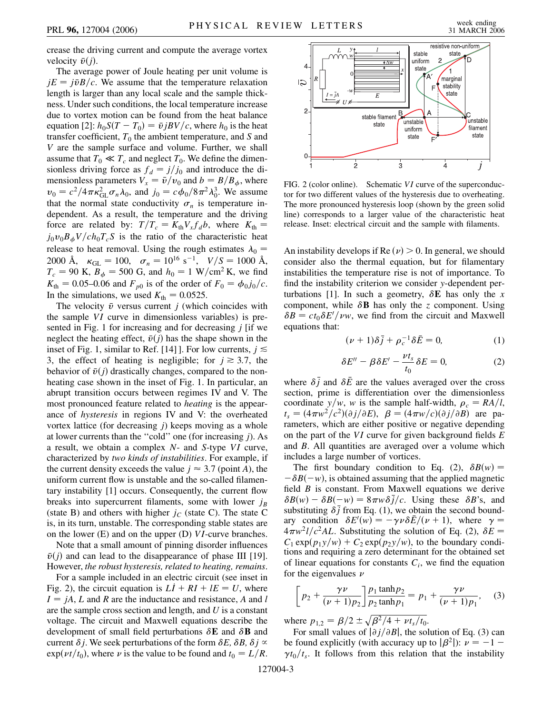crease the driving current and compute the average vortex velocity  $\bar{v}(i)$ .

The average power of Joule heating per unit volume is  $jE = j\bar{v}B/c$ . We assume that the temperature relaxation length is larger than any local scale and the sample thickness. Under such conditions, the local temperature increase due to vortex motion can be found from the heat balance equation [2]:  $h_0 S(T - T_0) = \bar{v} j B V/c$ , where  $h_0$  is the heat transfer coefficient,  $T_0$  the ambient temperature, and  $S$  and *V* are the sample surface and volume. Further, we shall assume that  $T_0 \ll T_c$  and neglect  $T_0$ . We define the dimensionless driving force as  $f_d = j/j_0$  and introduce the dimensionless parameters  $V_x = \bar{v}/v_0$  and  $b = B/B_{\phi}$ , where  $v_0 = c^2/4\pi\kappa_{\text{GL}}^2\sigma_n\lambda_0$ , and  $j_0 = c\phi_0/8\pi^2\lambda_0^3$ . We assume that the normal state conductivity  $\sigma_n$  is temperature independent. As a result, the temperature and the driving force are related by:  $T/T_c = K_{\text{th}}V_x f_d b$ , where  $K_{\text{th}} =$  $j_0 v_0 B_\phi V / c h_0 T_c S$  is the ratio of the characteristic heat release to heat removal. Using the rough estimates  $\lambda_0 =$ 2000 Å,  $\kappa_{\text{GL}} = 100$ ,  $\sigma_n = 10^{16} \text{ s}^{-1}$ ,  $V/S = 1000 \text{ Å}$ ,  $T_c = 90$  K,  $B_{\phi} = 500$  G, and  $h_0 = 1$  W/cm<sup>2</sup> K, we find  $K_{\text{th}} = 0.05{\text{-}}0.06$  and  $F_{p0}$  is of the order of  $F_0 = \phi_0 j_0/c$ . In the simulations, we used  $K_{\text{th}} = 0.0525$ .

The velocity  $\bar{v}$  versus current *j* (which coincides with the sample *VI* curve in dimensionless variables) is presented in Fig. 1 for increasing and for decreasing *j* [if we neglect the heating effect,  $\bar{v}(j)$  has the shape shown in the inset of Fig. 1, similar to Ref. [14] ]. For low currents,  $j \leq$ 3, the effect of heating is negligible; for  $j \ge 3.7$ , the behavior of  $\bar{v}(i)$  drastically changes, compared to the nonheating case shown in the inset of Fig. 1. In particular, an abrupt transition occurs between regimes IV and V. The most pronounced feature related to *heating* is the appearance of *hysteresis* in regions IV and V: the overheated vortex lattice (for decreasing *j*) keeps moving as a whole at lower currents than the ''cold'' one (for increasing *j*). As a result, we obtain a complex *N*- and *S*-type *VI* curve, characterized by *two kinds of instabilities*. For example, if the current density exceeds the value  $j \approx 3.7$  (point *A*), the uniform current flow is unstable and the so-called filamentary instability [1] occurs. Consequently, the current flow breaks into supercurrent filaments, some with lower  $j_B$ (state B) and others with higher  $j_C$  (state C). The state C is, in its turn, unstable. The corresponding stable states are on the lower (E) and on the upper (D) *VI*-curve branches.

Note that a small amount of pinning disorder influences  $\bar{v}(i)$  and can lead to the disappearance of phase III [19]. However, *the robust hysteresis, related to heating, remains*.

For a sample included in an electric circuit (see inset in Fig. 2), the circuit equation is  $LI + RI + IE = U$ , where  $I = jA$ , *L* and *R* are the inductance and resistance, *A* and *l* are the sample cross section and length, and *U* is a constant voltage. The circuit and Maxwell equations describe the development of small field perturbations  $\delta$ **E** and  $\delta$ **B** and current  $\delta j$ . We seek perturbations of the form  $\delta E$ ,  $\delta B$ ,  $\delta j \propto$  $\exp(\nu t/t_0)$ , where  $\nu$  is the value to be found and  $t_0 = L/R$ .



FIG. 2 (color online). Schematic *VI* curve of the superconductor for two different values of the hysteresis due to overheating. The more pronounced hysteresis loop (shown by the green solid line) corresponds to a larger value of the characteristic heat release. Inset: electrical circuit and the sample with filaments.

An instability develops if Re  $(\nu) > 0$ . In general, we should consider also the thermal equation, but for filamentary instabilities the temperature rise is not of importance. To find the instability criterion we consider *y*-dependent perturbations [1]. In such a geometry,  $\delta$ **E** has only the *x* component, while  $\delta$ **B** has only the *z* component. Using  $\delta B = ct_0 \delta E'/\nu w$ , we find from the circuit and Maxwell equations that:

$$
(\nu + 1)\delta \bar{j} + \rho_c^{-1} \delta \bar{E} = 0, \qquad (1)
$$

$$
\delta E'' - \beta \delta E' - \frac{\nu t_s}{t_0} \delta E = 0, \tag{2}
$$

where  $\delta \bar{j}$  and  $\delta \bar{E}$  are the values averaged over the cross section, prime is differentiation over the dimensionless coordinate  $y/w$ , *w* is the sample half-width,  $\rho_c = RA/l$ ,  $t_s = (4\pi w^2/c^2)(\partial j/\partial E), \ \beta = (4\pi w/c)(\partial j/\partial B)$  are parameters, which are either positive or negative depending on the part of the *VI* curve for given background fields *E* and *B*. All quantities are averaged over a volume which includes a large number of vortices.

The first boundary condition to Eq. (2),  $\delta B(w)$  =  $-\delta B(-w)$ , is obtained assuming that the applied magnetic field *B* is constant. From Maxwell equations we derive  $\delta B(w) - \delta B(-w) = 8\pi w \delta \bar{j}/c$ . Using these  $\delta B$ 's, and substituting  $\delta \bar{j}$  from Eq. (1), we obtain the second boundary condition  $\delta E'(w) = -\gamma \nu \delta \bar{E}/(\nu + 1)$ , where  $\gamma =$  $4\pi w^2 l/c^2 A L$ . Substituting the solution of Eq. (2),  $\delta E =$  $C_1 \exp(p_1 y/w) + C_2 \exp(p_2 y/w)$ , to the boundary conditions and requiring a zero determinant for the obtained set of linear equations for constants  $C_i$ , we find the equation for the eigenvalues  $\nu$ 

$$
\left[p_2 + \frac{\gamma \nu}{(\nu + 1)p_2}\right] \frac{p_1 \tanh p_2}{p_2 \tanh p_1} = p_1 + \frac{\gamma \nu}{(\nu + 1)p_1},\quad (3)
$$

where  $p_{1,2} = \frac{\beta}{2} \pm \sqrt{\frac{\beta^2}{4} + vt_s/t_0}$ .

For small values of  $|\partial j/\partial B|$ , the solution of Eq. (3) can be found explicitly (with accuracy up to  $|\beta^2|$ ):  $\nu = -1$  –  $\gamma t_0/t_s$ . It follows from this relation that the instability